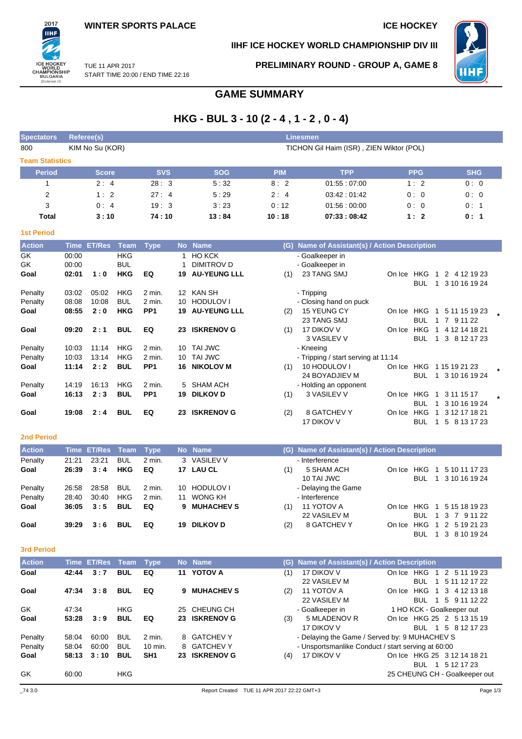## **IIHF ICE HOCKEY WORLD CHAMPIONSHIP DIV III**



2017 ПHI

**PRELIMINARY ROUND - GROUP A, GAME 8**



START TIME 20:00 / END TIME 22:16

# **GAME SUMMARY**

# **HKG - BUL 3 - 10 (2 - 4 , 1 - 2 , 0 - 4)**

| <b>Spectators</b>      | Referee(s)      |                                          | <b>Linesmen</b> |            |               |            |            |  |  |  |  |
|------------------------|-----------------|------------------------------------------|-----------------|------------|---------------|------------|------------|--|--|--|--|
| 800                    | KIM No Su (KOR) | TICHON Gil Haim (ISR), ZIEN Wiktor (POL) |                 |            |               |            |            |  |  |  |  |
| <b>Team Statistics</b> |                 |                                          |                 |            |               |            |            |  |  |  |  |
| <b>Period</b>          | <b>Score</b>    | <b>SVS</b>                               | <b>SOG</b>      | <b>PIM</b> | <b>TPP</b>    | <b>PPG</b> | <b>SHG</b> |  |  |  |  |
|                        | 2:4             | 28:3                                     | 5:32            | 8:2        | 01:55:07:00   | 1:2        | 0:0        |  |  |  |  |
| 2                      | 1:2             | 27:4                                     | 5:29            | 2:4        | 03:42:01:42   | 0:0        | 0:0        |  |  |  |  |
| 3                      | 0:4             | 19:3                                     | 3:23            | 0:12       | 01.56:00.00   | 0:0        | 0:1        |  |  |  |  |
| Total                  | 3:10            | 74 : 10                                  | 13:84           | 10:18      | 07:33 : 08:42 | 1:2        | 0:1        |  |  |  |  |

| <b>Action</b> | Time  | <b>ET/Res</b> | Team       | <b>Type</b>     |     | No Name             | (G) | Name of Assistant(s) / Action Description |        |            |   |                 |  |
|---------------|-------|---------------|------------|-----------------|-----|---------------------|-----|-------------------------------------------|--------|------------|---|-----------------|--|
| GK            | 00:00 |               | <b>HKG</b> |                 |     | <b>HO KCK</b>       |     | - Goalkeeper in                           |        |            |   |                 |  |
| GK            | 00:00 |               | <b>BUL</b> |                 |     | DIMITROV D          |     | - Goalkeeper in                           |        |            |   |                 |  |
| Goal          | 02:01 | 1:0           | <b>HKG</b> | EQ              | 19  | <b>AU-YEUNG LLL</b> | (1) | 23 TANG SMJ                               | On Ice | <b>HKG</b> |   | 2<br>4 12 19 23 |  |
|               |       |               |            |                 |     |                     |     |                                           |        | <b>BUL</b> | 1 | 3 10 16 19 24   |  |
| Penalty       | 03:02 | 05:02         | HKG        | 2 min.          | 12  | KAN SH              |     | - Tripping                                |        |            |   |                 |  |
| Penalty       | 08:08 | 10:08         | <b>BUL</b> | $2$ min.        | 10. | <b>HODULOVI</b>     |     | - Closing hand on puck                    |        |            |   |                 |  |
| Goal          | 08:55 | 2:0           | <b>HKG</b> | PP <sub>1</sub> | 19  | <b>AU-YEUNG LLL</b> | (2) | 15 YEUNG CY                               | On Ice | HKG        | 1 | 5 11 15 19 23   |  |
|               |       |               |            |                 |     |                     |     | 23 TANG SMJ                               |        | <b>BUL</b> |   | 7 9 11 22       |  |
| Goal          | 09:20 | 2:1           | <b>BUL</b> | EQ              | 23  | <b>ISKRENOV G</b>   | (1) | 17 DIKOV V                                | On Ice | <b>HKG</b> |   | 4 12 14 18 21   |  |
|               |       |               |            |                 |     |                     |     | 3 VASILEV V                               |        | <b>BUL</b> | 1 | 3 8 12 17 23    |  |
| Penalty       | 10:03 | 11:14         | <b>HKG</b> | 2 min.          | 10. | TAI JWC             |     | - Kneeing                                 |        |            |   |                 |  |
| Penalty       | 10:03 | 13:14         | <b>HKG</b> | 2 min.          | 10  | TAI JWC             |     | - Tripping / start serving at 11:14       |        |            |   |                 |  |
| Goal          | 11:14 | 2:2           | <b>BUL</b> | PP <sub>1</sub> | 16  | <b>NIKOLOV M</b>    | (1) | 10 HODULOV I                              | On Ice | HKG        |   | 1 15 19 21 23   |  |
|               |       |               |            |                 |     |                     |     | 24 BOYADJIEV M                            |        | <b>BUL</b> |   | 1 3 10 16 19 24 |  |
| Penalty       | 14:19 | 16:13         | <b>HKG</b> | 2 min.          | 5.  | <b>SHAM ACH</b>     |     | - Holding an opponent                     |        |            |   |                 |  |
| Goal          | 16:13 | 2:3           | <b>BUL</b> | PP <sub>1</sub> | 19  | <b>DILKOV D</b>     | (1) | 3 VASILEV V                               | On Ice | <b>HKG</b> |   | 3 11 15 17      |  |
|               |       |               |            |                 |     |                     |     |                                           |        | <b>BUL</b> |   | 3 10 16 19 24   |  |
| Goal          | 19:08 | 2:4           | <b>BUL</b> | EQ              | 23  | <b>ISKRENOV G</b>   | (2) | 8 GATCHEV Y                               | On Ice | <b>HKG</b> |   | 3 12 17 18 21   |  |
|               |       |               |            |                 |     |                     |     | 17 DIKOV V                                |        | <b>BUL</b> |   | 5 8 13 17 23    |  |

#### **2nd Period**

**1st Period**

| <b>Action</b> |       | Time ET/Res Team Type |            |        |    | No Name         |     | (G) Name of Assistant(s) / Action Description |        |            |                     |
|---------------|-------|-----------------------|------------|--------|----|-----------------|-----|-----------------------------------------------|--------|------------|---------------------|
| Penalty       | 21:21 | 23:21                 | <b>BUL</b> | 2 min. |    | 3 VASILEV V     |     | - Interference                                |        |            |                     |
| Goal          | 26:39 | 3:4                   | <b>HKG</b> | EQ     |    | 17 LAU CL       | (1) | 5 SHAM ACH                                    | On Ice | HKG        | 5 10 11 17 23       |
|               |       |                       |            |        |    |                 |     | 10 TAI JWC                                    |        | BUL<br>1.  | 3 10 16 19 24       |
| Penalty       | 26:58 | 28:58                 | <b>BUL</b> | 2 min. |    | 10 HODULOVI     |     | - Delaying the Game                           |        |            |                     |
| Penalty       | 28:40 | 30:40                 | <b>HKG</b> | 2 min. | 11 | WONG KH         |     | - Interference                                |        |            |                     |
| Goal          | 36:05 | 3:5                   | <b>BUL</b> | EQ     |    | 9 MUHACHEV S    | (1) | 11 YOTOV A                                    | On Ice |            | HKG 1 5 15 18 19 23 |
|               |       |                       |            |        |    |                 |     | 22 VASILEV M                                  |        | <b>BUL</b> | 1 3 7 9 11 22       |
| Goal          | 39.29 | 3:6                   | <b>BUL</b> | EQ     | 19 | <b>DILKOV D</b> | (2) | 8 GATCHEV Y                                   | On Ice | HKG        | 1 2 5 19 21 23      |
|               |       |                       |            |        |    |                 |     |                                               |        | BUL        | 1 3 8 10 19 24      |

#### **3rd Period**

| <b>Action</b> | <b>Time</b> | <b>ET/Res</b> | Team       | Type               | <b>No</b> | <b>Name</b>       | (G) | Name of Assistant(s) / Action Description          |        |                               |                 |  |
|---------------|-------------|---------------|------------|--------------------|-----------|-------------------|-----|----------------------------------------------------|--------|-------------------------------|-----------------|--|
| Goal          | 42:44       | 3:7           | <b>BUL</b> | EQ                 |           | 11 YOTOV A        | (1) | 17 DIKOV V                                         | On Ice | HKG<br>$\overline{1}$         | 2 5 11 19 23    |  |
|               |             |               |            |                    |           |                   |     | 22 VASILEV M                                       |        | <b>BUL</b><br>-1              | 5 11 12 17 22   |  |
| Goal          | 47:34       | 3:8           | <b>BUL</b> | EQ                 | 9.        | <b>MUHACHEV S</b> | (2) | 11 YOTOV A                                         | On Ice | HKG<br>$\mathbf{1}$           | 3 4 1 2 1 3 1 8 |  |
|               |             |               |            |                    |           |                   |     | 22 VASILEV M                                       |        | <b>BUL</b><br>$\overline{1}$  | 5 9 11 12 22    |  |
| GK.           | 47:34       |               | <b>HKG</b> |                    |           | 25 CHEUNG CH      |     | - Goalkeeper in                                    |        | 1 HO KCK - Goalkeeper out     |                 |  |
| Goal          | 53:28       | 3:9           | <b>BUL</b> | EQ                 | 23        | <b>ISKRENOV G</b> | (3) | 5 MLADENOV R                                       |        | On Ice HKG 25 2 5 13 15 19    |                 |  |
|               |             |               |            |                    |           |                   |     | 17 DIKOV V                                         |        | BUL.<br>$\blacksquare$        | 5 8 1 2 1 7 2 3 |  |
| Penalty       | 58:04       | 60:00         | <b>BUL</b> | $2$ min.           |           | 8 GATCHEV Y       |     | - Delaying the Game / Served by: 9 MUHACHEV S      |        |                               |                 |  |
| Penalty       | 58:04       | 60:00         | <b>BUL</b> | $10 \text{ min}$ . |           | 8 GATCHEV Y       |     | - Unsportsmanlike Conduct / start serving at 60:00 |        |                               |                 |  |
| Goal          | 58:13       | 3:10          | <b>BUL</b> | SH <sub>1</sub>    | 23        | <b>ISKRENOV G</b> | (4) | 17 DIKOV V                                         |        | On Ice HKG 25 3 12 14 18 21   |                 |  |
|               |             |               |            |                    |           |                   |     |                                                    |        | <b>BUL</b><br>$\overline{1}$  | 5 12 17 23      |  |
| GK            | 60:00       |               | <b>HKG</b> |                    |           |                   |     |                                                    |        | 25 CHEUNG CH - Goalkeeper out |                 |  |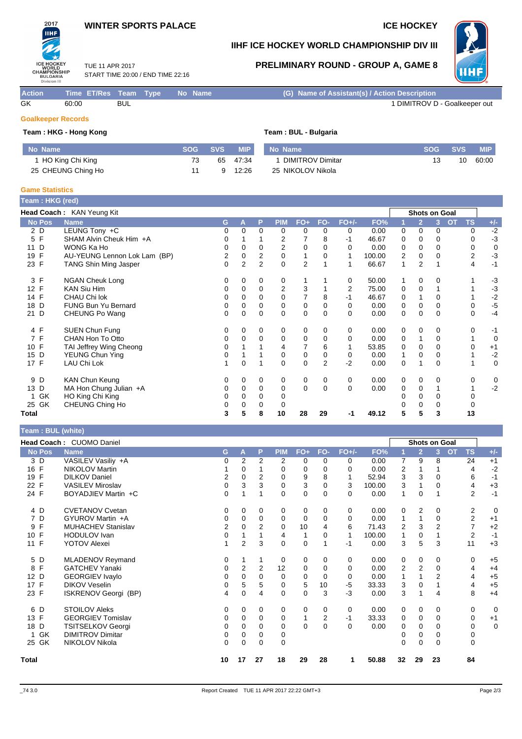### **WINTER SPORTS PALACE ICE HOCKEY**



2017

## **IIHF ICE HOCKEY WORLD CHAMPIONSHIP DIV III**

TUE 11 APR 2017 START TIME 20:00 / END TIME 22:16

## **PRELIMINARY ROUND - GROUP A, GAME 8**



**Action Time ET/Res Team Type No Name (G) Name of Assistant(s) / Action Description** GK 60:00 BUL 60:00 BUL 60:00 BUL 60:00 BUL 60:00 BUL 60 BUL 1 DIMITROV D - Goalkeeper out

#### **Goalkeeper Records**

#### **Team : HKG - Hong Kong Team : BUL - Bulgaria**

| No Name            |    | SOG SVS | <b>MIP</b> | No Name           | <b>SOG</b> | <b>SVS</b> | <b>MIP</b> |
|--------------------|----|---------|------------|-------------------|------------|------------|------------|
| HO King Chi King   | 73 | 65      | 47.34      | DIMITROV Dimitar  | 13         | 10         | 60:00      |
| 25 CHEUNG Ching Ho |    |         | 12.26      | 25 NIKOLOV Nikola |            |            |            |

#### **Game Statistics**

**Team : BUL (white)**

| Team: HKG (red)      |                              |          |                |                |                |                |          |          |        |             |                |          |                 |                  |
|----------------------|------------------------------|----------|----------------|----------------|----------------|----------------|----------|----------|--------|-------------|----------------|----------|-----------------|------------------|
|                      | Head Coach: KAN Yeung Kit    |          |                |                |                |                |          |          |        |             | Shots on Goal  |          |                 |                  |
| <b>No Pos</b>        | <b>Name</b>                  | G        | A              | P              | <b>PIM</b>     | $FO+$          | FO-      | $FO+/-$  | FO%    |             | $\overline{2}$ | 3        | <b>TS</b><br>OT | $+/-$            |
| 2 D                  | LEUNG Tony +C                | 0        | 0              | 0              | 0              | 0              | 0        | 0        | 0.00   | 0           | 0              | 0        |                 | $-2$<br>0        |
| F<br>5               | SHAM Alvin Cheuk Him +A      | 0        |                |                | 2              |                | 8        | -1       | 46.67  | 0           | $\Omega$       | 0        |                 | $-3$<br>0        |
| D<br>11              | WONG Ka Ho                   | 0        | 0              | $\Omega$       | 2              | 0              | $\Omega$ | 0        | 0.00   | 0           | 0              | $\Omega$ |                 | $\mathbf 0$<br>0 |
| F<br>19              | AU-YEUNG Lennon Lok Lam (BP) | 2        | 0              | 2              | 0              | 1              | 0        | 1        | 100.00 | 2           | 0              | 0        |                 | $-3$<br>2        |
| 23 F                 | <b>TANG Shin Ming Jasper</b> | $\Omega$ | $\overline{2}$ | $\overline{2}$ | $\Omega$       | $\overline{2}$ |          |          | 66.67  | 1           | $\overline{2}$ |          |                 | $-1$<br>4        |
| F<br>3               | <b>NGAN Cheuk Long</b>       | 0        | 0              | 0              | 0              |                |          | 0        | 50.00  |             | 0              | 0        |                 | $-3$             |
| F<br>12 <sup>2</sup> | <b>KAN Siu Him</b>           |          | 0              | 0              | $\overline{2}$ | 3              |          | 2        | 75.00  | $\mathbf 0$ | 0              |          |                 | $-3$             |
| F<br>14              | CHAU Chi lok                 | 0        | 0              | 0              | 0              |                | 8        | -1       | 46.67  | 0           |                | 0        |                 | $-2$             |
| D<br>18              | <b>FUNG Bun Yu Bernard</b>   | 0        | 0              | $\Omega$       | 0              | 0              | $\Omega$ | 0        | 0.00   | $\mathbf 0$ | 0              | $\Omega$ |                 | $-5$<br>0        |
| D<br>21              | CHEUNG Po Wang               | 0        | 0              | $\Omega$       | $\Omega$       | $\mathbf 0$    | $\Omega$ | $\Omega$ | 0.00   | 0           | $\Omega$       | $\Omega$ |                 | $-4$<br>$\Omega$ |
| 4 F                  | SUEN Chun Fung               | 0        | 0              | 0              | 0              | 0              | 0        | 0        | 0.00   | 0           | 0              | 0        |                 | 0<br>$-1$        |
| $\mathsf{F}$<br>7    | CHAN Hon To Otto             | 0        | 0              | 0              | 0              | 0              | $\Omega$ | 0        | 0.00   | 0           | 1              | 0        |                 | 0                |
| F<br>10              | TAI Jeffrey Wing Cheong      | 0        |                |                | 4              | 7              | 6        |          | 53.85  | 0           | $\Omega$       | 0        |                 | $+1$<br>0        |
| 15<br>D              | YEUNG Chun Ying              | 0        |                |                | 0              | 0              | 0        | 0        | 0.00   |             | $\Omega$       | 0        |                 | $-2$             |
| 17 F                 | LAU Chi Lok                  |          | 0              |                | 0              | 0              | 2        | $-2$     | 0.00   | 0           |                | 0        |                 | $\mathbf 0$      |
| 9 D                  | <b>KAN Chun Keung</b>        | 0        | 0              | 0              | 0              | 0              | 0        | 0        | 0.00   | 0           | 0              | 0        |                 | 0<br>0           |
| D<br>13              | MA Hon Chung Julian +A       | 0        | 0              | $\mathbf 0$    | 0              | $\mathbf 0$    | $\Omega$ | $\Omega$ | 0.00   | 0           | 0              |          |                 | $-2$             |
| GK                   | HO King Chi King             | 0        | 0              | 0              | 0              |                |          |          |        | 0           | 0              | 0        | 0               |                  |
| 25 GK                | CHEUNG Ching Ho              | 0        | 0              | 0              | 0              |                |          |          |        |             | 0              | 0        |                 |                  |
| Total                |                              | 3        | 5              | 8              | 10             | 28             | 29       | -1       | 49.12  | 5           | 5              | 3        | 13              |                  |

#### **Head Coach :** CUOMO Daniel **Shots on Goal No Pos Name G A P PIM FO+ FO- FO+/- FO% 1 2 3 OT TS +/-** 3 D VASILEV Vasiliy +A 0 2 2 2 0 0 0 0.00 7 9 8 24 +1 16 F NIKOLOV Martin 1 0 1 0 0 0 0 0.00 2 1 1 4 -2 19 F DILKOV Daniel 2 0 2 0 9 8 1 52.94 3 3 0 6 -1 22 F VASILEV Miroslav 0 3 3 0 3 0 3 100.00 3 1 0 4 +3 24 F BOYADJIEV Martin +C 0 1 1 0 0 0 0 0.00 1 0 1 2 -1 4 D CVETANOV Cvetan 
4 D CVETANOV Cvetan

4 D CVETANOV Cvetan

4 D C V UROV Martin +A

4 D C YUROV Martin +A

4 D C YUROV Martin +A  $\begin{array}{ccccccccc} 0 & 0 & 0 & 0 & 0 & 0 & 0 & 0 & 0 & 0 & 2 & 0 & 2 & 0 & 1 & 1 & 0 & 2 & 1 & 1 & 1 & 1 & 1 & 1 & 1 & 1 &$ 7 D GYUROV Martin +A 0 0 0 0 0 0 0 0.00 1 1 0 2 +1 9 F MUHACHEV Stanislav 2 0 2 0 10 4 6 71.43 2 3 2 7 +2 10 F HODULOV Ivan 0 1 1 4 1 0 1 100.00 1 0 1 2 -1 11 F YOTOV Alexei 1 2 3 0 0 1 -1 0.00 3 5 3 11 +3 5 D MLADENOV Reymand 0 1 1 0 0 0 0 0.00 0 0 0 0 +5 8 F GATCHEV Yanaki 0 2 2 12 0 0 0 0.00 2 2 0 4 +4 12 D GEORGIEV Ivaylo 0 0 0 0 0 0 0 0.00 1 1 2 4 +5 17 F DIKOV Veselin 0 5 5 0 5 10 -5 33.33 3 0 1 4 +5 23 F ISKRENOV Georgi (BP) 4 0 4 0 0 3 -3 0.00 3 1 4 8 +4 6 D STOILOV Aleks 0 0 0 0 0 0 0 0.00 0 0 0 0 0 13 F GEORGIEV Tomislav 0 0 0 0 1 2 -1 33.33 0 0 0 0 +1 18 D TSITSELKOV Georgi 0 0 0 0 0 0 0 0.00 0 0 0 0 0 1 GK DIMITROV Dimitar 0 0 0 0 0 0 0 0 25 GK NIKOLOV Nikola 0 0 0 0 0 0 0 0 **Total 10 17 27 18 29 28 1 50.88 32 29 23 84**